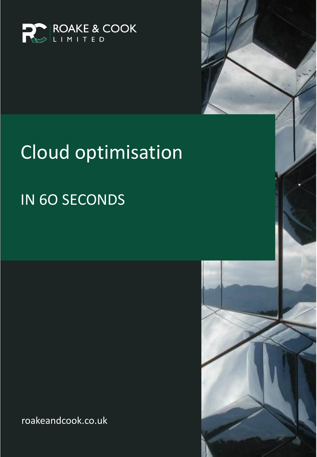

# Cloud optimisation

## IN 6O SECONDS

roakeandcook.co.uk

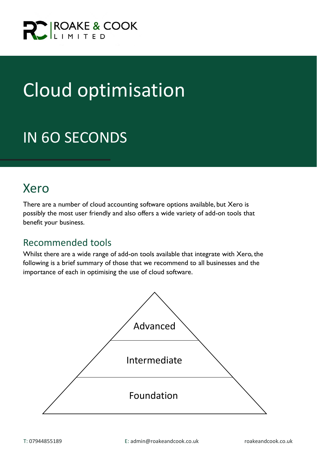

## Cloud optimisation

### IN 6O SECONDS

### Xero

There are a number of cloud accounting software options available, but Xero is possibly the most user friendly and also offers a wide variety of add-on tools that benefit your business.

#### Recommended tools

Whilst there are a wide range of add-on tools available that integrate with Xero, the following is a brief summary of those that we recommend to all businesses and the importance of each in optimising the use of cloud software.

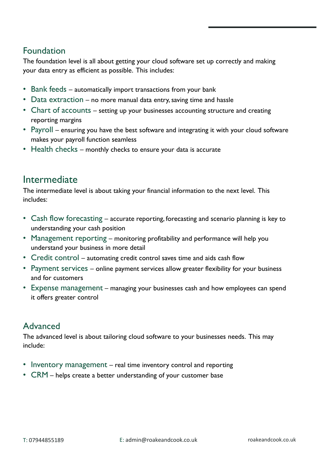#### Foundation

The foundation level is all about getting your cloud software set up correctly and making your data entry as efficient as possible. This includes:

- Bank feeds automatically import transactions from your bank
- Data extraction no more manual data entry, saving time and hassle
- Chart of accounts setting up your businesses accounting structure and creating reporting margins
- Payroll ensuring you have the best software and integrating it with your cloud software makes your payroll function seamless
- Health checks monthly checks to ensure your data is accurate

#### Intermediate

The intermediate level is about taking your financial information to the next level. This includes:

- Cash flow forecasting accurate reporting, forecasting and scenario planning is key to understanding your cash position
- Management reporting monitoring profitability and performance will help you understand your business in more detail
- Credit control automating credit control saves time and aids cash flow
- Payment services online payment services allow greater flexibility for your business and for customers
- Expense management managing your businesses cash and how employees can spend it offers greater control

#### Advanced

The advanced level is about tailoring cloud software to your businesses needs. This may include:

- Inventory management real time inventory control and reporting
- CRM helps create a better understanding of your customer base